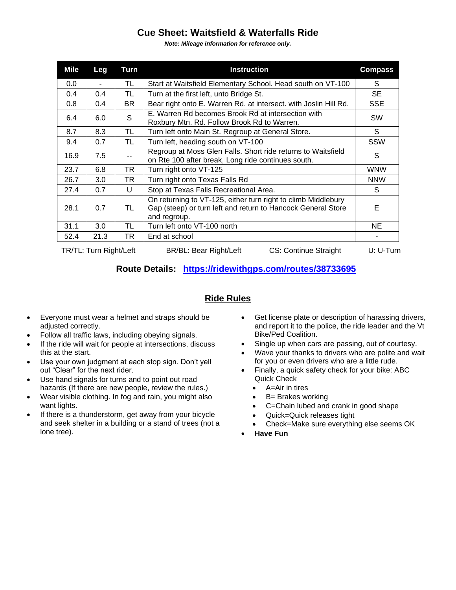## **Cue Sheet: Waitsfield & Waterfalls Ride**

*Note: Mileage information for reference only.*

| <b>Mile</b>            | Leg  | Turn      | <b>Instruction</b>                                                                                                                            | <b>Compass</b> |
|------------------------|------|-----------|-----------------------------------------------------------------------------------------------------------------------------------------------|----------------|
| 0.0                    | ٠    | TL        | Start at Waitsfield Elementary School. Head south on VT-100                                                                                   | S              |
| 0.4                    | 0.4  | TL        | Turn at the first left, unto Bridge St.                                                                                                       | SE.            |
| 0.8                    | 0.4  | BR        | Bear right onto E. Warren Rd. at intersect. with Joslin Hill Rd.                                                                              | <b>SSE</b>     |
| 6.4                    | 6.0  | S         | E. Warren Rd becomes Brook Rd at intersection with<br>Roxbury Mtn. Rd. Follow Brook Rd to Warren.                                             | <b>SW</b>      |
| 8.7                    | 8.3  | TL        | Turn left onto Main St. Regroup at General Store.                                                                                             | S.             |
| 9.4                    | 0.7  | TL        | Turn left, heading south on VT-100                                                                                                            | SSW            |
| 16.9                   | 7.5  |           | Regroup at Moss Glen Falls. Short ride returns to Waitsfield<br>on Rte 100 after break, Long ride continues south.                            | S              |
| 23.7                   | 6.8  | TR        | Turn right onto VT-125                                                                                                                        | <b>WNW</b>     |
| 26.7                   | 3.0  | <b>TR</b> | Turn right onto Texas Falls Rd                                                                                                                | <b>NNW</b>     |
| 27.4                   | 0.7  | U         | Stop at Texas Falls Recreational Area.                                                                                                        | S.             |
| 28.1                   | 0.7  | TL        | On returning to VT-125, either turn right to climb Middlebury<br>Gap (steep) or turn left and return to Hancock General Store<br>and regroup. | Е              |
| 31.1                   | 3.0  | TL        | Turn left onto VT-100 north                                                                                                                   | NE.            |
| 52.4                   | 21.3 | TR        | End at school                                                                                                                                 |                |
| TR/TL: Turn Right/Left |      |           | BR/BL: Bear Right/Left<br>CS: Continue Straight                                                                                               | $U: U-Turn$    |

## **Route Details: <https://ridewithgps.com/routes/38733695>**

## **Ride Rules**

- Everyone must wear a helmet and straps should be adjusted correctly.
- Follow all traffic laws, including obeying signals.
- If the ride will wait for people at intersections, discuss this at the start.
- Use your own judgment at each stop sign. Don't yell out "Clear" for the next rider.
- Use hand signals for turns and to point out road hazards (If there are new people, review the rules.)
- Wear visible clothing. In fog and rain, you might also want lights.
- If there is a thunderstorm, get away from your bicycle and seek shelter in a building or a stand of trees (not a lone tree).
- Get license plate or description of harassing drivers, and report it to the police, the ride leader and the Vt Bike/Ped Coalition.
- Single up when cars are passing, out of courtesy.
- Wave your thanks to drivers who are polite and wait for you or even drivers who are a little rude.
- Finally, a quick safety check for your bike: ABC Quick Check
	- A=Air in tires
	- B= Brakes working
	- C=Chain lubed and crank in good shape
	- Quick=Quick releases tight
	- Check=Make sure everything else seems OK
- **Have Fun**